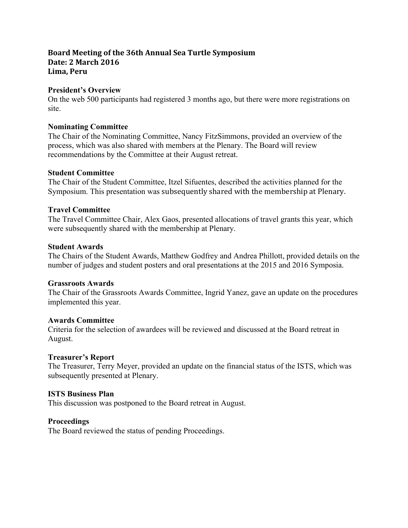# **Board Meeting of the 36th Annual Sea Turtle Symposium Date: 2 March 2016 Lima, Peru**

## **President's Overview**

On the web 500 participants had registered 3 months ago, but there were more registrations on site.

## **Nominating Committee**

The Chair of the Nominating Committee, Nancy FitzSimmons, provided an overview of the process, which was also shared with members at the Plenary. The Board will review recommendations by the Committee at their August retreat.

## **Student Committee**

The Chair of the Student Committee, Itzel Sifuentes, described the activities planned for the Symposium. This presentation was subsequently shared with the membership at Plenary.

## **Travel Committee**

The Travel Committee Chair, Alex Gaos, presented allocations of travel grants this year, which were subsequently shared with the membership at Plenary.

## **Student Awards**

The Chairs of the Student Awards, Matthew Godfrey and Andrea Phillott, provided details on the number of judges and student posters and oral presentations at the 2015 and 2016 Symposia.

#### **Grassroots Awards**

The Chair of the Grassroots Awards Committee, Ingrid Yanez, gave an update on the procedures implemented this year.

## **Awards Committee**

Criteria for the selection of awardees will be reviewed and discussed at the Board retreat in August.

## **Treasurer's Report**

The Treasurer, Terry Meyer, provided an update on the financial status of the ISTS, which was subsequently presented at Plenary.

## **ISTS Business Plan**

This discussion was postponed to the Board retreat in August.

#### **Proceedings**

The Board reviewed the status of pending Proceedings.